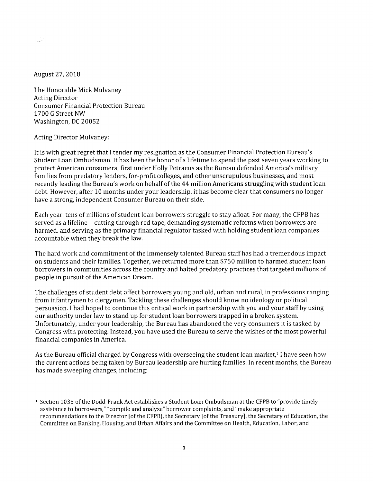August 27, 2018

The Honorable Mick Mulvaney Acting Director Consumer Financial Protection Bureau 1700 G Street NW Washington, DC 20052

Acting Director Mulvaney:

It is with great regret that I tender my resignation as the Consumer Financial Protection Bureau's Student Loan Ombudsman. It has been the honor of a lifetime to spend the past seven years working to protect American consumers; first under Holly Petraeus as the Bureau defended America's military families from predatory lenders, for-profit colleges, and other unscrupulous businesses, and most recently leading the Bureau's work on behalf of the 44 million Americans struggling with student loan debt. However, after 10 months under your leadership, it has become clear that consumers no longer have a strong, independent Consumer Bureau on their side.

Each year, tens of millions of student loan borrowers struggle to stay afloat. For many, the CFPB has served as a lifeline—cutting through red tape, demanding systematic reforms when borrowers are harmed, and serving as the primary financial regulator tasked with holding student loan companies accountable when they break the law.

The hard work and commitment of the immensely talented Bureau staff has had a tremendous impact on students and their families. Together, we returned more than \$750 million to harmed student loan borrowers in communities across the country and halted predatory practices that targeted millions of people in pursuit of the American Dream.

The challenges of student debt affect borrowers young and old, urban and rural, in professions ranging from infantrymen to clergymen. Tackling these challenges should know no ideology or political persuasion. I had hoped to continue this critical work in partnership with you and your staff by using our authority under law to stand up for student loan borrowers trapped in a broken system. Unfortunately, under your leadership, the Bureau has abandoned the very consumers it is tasked by Congress with protecting. Instead, you have used the Bureau to serve the wishes of the most powerful financial companies in America.

As the Bureau official charged by Congress with overseeing the student loan market,<sup>1</sup> I have seen how the current actions being taken by Bureau leadership are hurting families. In recent months, the Bureau has made sweeping changes, including:

<sup>&</sup>lt;sup>1</sup> Section 1035 of the Dodd-Frank Act establishes a Student Loan Ombudsman at the CFPB to "provide timely assistance to borrowers," "compile and analyze" borrower complaints, and "make appropriate recommendations to the Director [of the CFPB], the Secretary [of the Treasury], the Secretary of Education, the Committee on Banking, Housing, and Urban Affairs and the Committee on Health, Education, Labor, and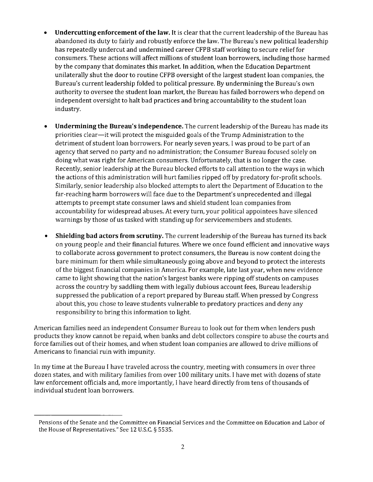- **• Undercutting enforcement of the law.** It is clear that the current leadership of the Bureau has abandoned its duty to fairly and robustly enforce the law. The Bureau's new political leadership has repeatedly undercut and undermined career CFPB staff working to secure relief for consumers. These actions will affect millions of student loan borrowers, including those harmed by the company that dominates this market. In addition, when the Education Department unilaterally shut the door to routine CFPB oversight of the largest student loan companies, the Bureau's current leadership folded to political pressure. By undermining the Bureau's own authority to oversee the student loan market, the Bureau has failed borrowers who depend on independent oversight to halt bad practices and bring accountability to the student loan industry.
- **• Undermining the Bureau's independence.** The current leadership of the Bureau has made its priorities clear — it will protect the misguided goals of the Trump Administration to the detriment of student loan borrowers. For nearly seven years, I was proud to be part of an agency that served no party and no administration; the Consumer Bureau focused solely on doing what was right for American consumers. Unfortunately, that is no longer the case. Recently, senior leadership at the Bureau blocked efforts to call attention to the ways in which the actions of this administration will hurt families ripped off by predatory for-profit schools. Similarly, senior leadership also blocked attempts to alert the Department of Education to the far-reaching harm borrowers will face due to the Department's unprecedented and illegal attempts to preempt state consumer laws and shield student loan companies from accountability for widespread abuses. At every turn, your political appointees have silenced warnings by those of us tasked with standing up for servicemembers and students.
- **• Shielding bad actors from scrutiny.** The current leadership of the Bureau has turned its back on young people and their financial futures. Where we once found efficient and innovative ways to collaborate across government to protect consumers, the Bureau is now content doing the bare minimum for them while simultaneously going above and beyond to protect the interests of the biggest financial companies in America. For example, late last year, when new evidence came to light showing that the nation's largest banks were ripping off students on campuses across the country by saddling them with legally dubious account fees, Bureau leadership suppressed the publication of a report prepared by Bureau staff. When pressed by Congress about this, you chose to leave students vulnerable to predatory practices and deny any responsibility to bring this information to light.

American families need an independent Consumer Bureau to look out for them when lenders push products they know cannot be repaid, when banks and debt collectors conspire to abuse the courts and force families out of their homes, and when student loan companies are allowed to drive millions of Americans to financial ruin with impunity.

In my time at the Bureau I have traveled across the country, meeting with consumers in over three dozen states, and with military families from over 100 military units. I have met with dozens of state law enforcement officials and, more importantly, I have heard directly from tens of thousands of individual student loan borrowers.

Pensions of the Senate and the Committee on Financial Services and the Committee on Education and Labor of the House of Representatives." See 12 U.S.C. g 5535.